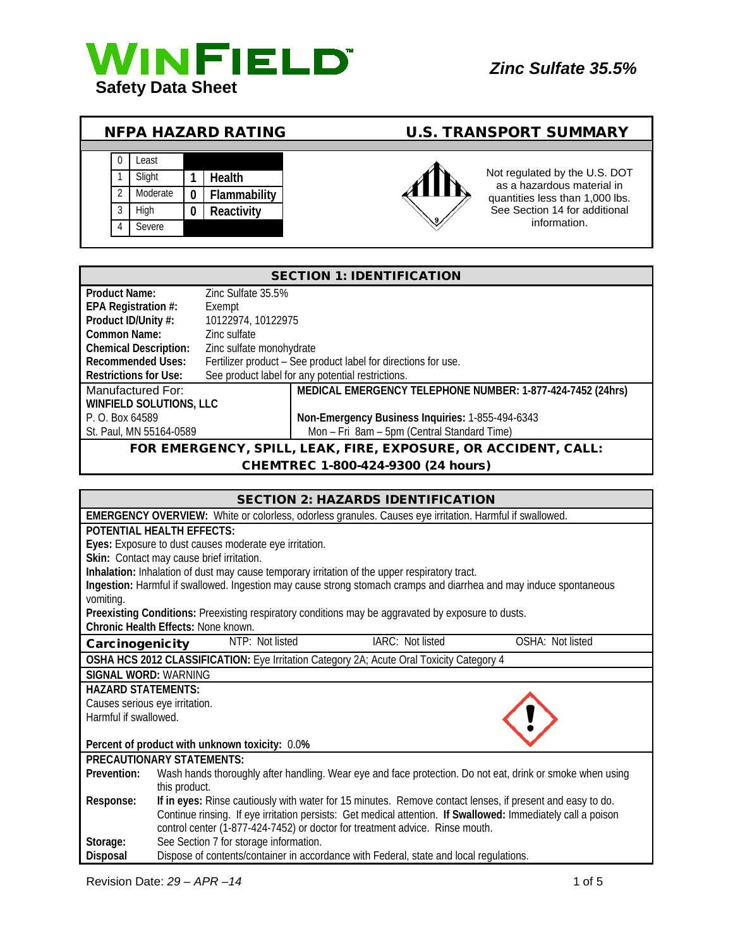

| <b>U.S. TRANSPORT SUMMARY</b><br><b>NFPA HAZARD RATING</b> |
|------------------------------------------------------------|
|------------------------------------------------------------|





as a hazardous material in quantities less than 1,000 lbs. See Section 14 for additional information.

| <b>SECTION 1: IDENTIFICATION</b>                               |                          |                                                                |
|----------------------------------------------------------------|--------------------------|----------------------------------------------------------------|
| Product Name:                                                  | Zinc Sulfate 35.5%       |                                                                |
| EPA Registration #:                                            | Exempt                   |                                                                |
| Product ID/Unity #:                                            | 10122974, 10122975       |                                                                |
| Common Name:                                                   | Zinc sulfate             |                                                                |
| <b>Chemical Description:</b>                                   | Zinc sulfate monohydrate |                                                                |
| <b>Recommended Uses:</b>                                       |                          | Fertilizer product - See product label for directions for use. |
| <b>Restrictions for Use:</b>                                   |                          | See product label for any potential restrictions.              |
| Manufactured For:                                              |                          | MEDICAL EMERGENCY TELEPHONE NUMBER: 1-877-424-7452 (24hrs)     |
| <b>WINFIELD SOLUTIONS, LLC</b>                                 |                          |                                                                |
| P. O. Box 64589                                                |                          | Non-Emergency Business Inquiries: 1-855-494-6343               |
| St. Paul, MN 55164-0589                                        |                          | Mon - Fri 8am - 5pm (Central Standard Time)                    |
| FOR EMERGENCY, SPILL, LEAK, FIRE, EXPOSURE, OR ACCIDENT, CALL: |                          |                                                                |

#### CHEMTREC 1-800-424-9300 (24 hours)

|                                                                                                         | <b>SECTION 2: HAZARDS IDENTIFICATION</b>                                                                           |  |
|---------------------------------------------------------------------------------------------------------|--------------------------------------------------------------------------------------------------------------------|--|
| EMERGENCY OVERVIEW: White or colorless, odorless granules. Causes eye irritation. Harmful if swallowed. |                                                                                                                    |  |
|                                                                                                         | <b>POTENTIAL HEALTH EFFECTS:</b>                                                                                   |  |
|                                                                                                         | Eyes: Exposure to dust causes moderate eye irritation.                                                             |  |
|                                                                                                         | Skin: Contact may cause brief irritation.                                                                          |  |
|                                                                                                         | Inhalation: Inhalation of dust may cause temporary irritation of the upper respiratory tract.                      |  |
|                                                                                                         | Ingestion: Harmful if swallowed. Ingestion may cause strong stomach cramps and diarrhea and may induce spontaneous |  |
| vomiting.                                                                                               |                                                                                                                    |  |
| Preexisting Conditions: Preexisting respiratory conditions may be aggravated by exposure to dusts.      |                                                                                                                    |  |
|                                                                                                         | Chronic Health Effects: None known.                                                                                |  |
| Carcinogenicity                                                                                         | IARC: Not listed<br>NTP: Not listed<br>OSHA: Not listed                                                            |  |
| OSHA HCS 2012 CLASSIFICATION: Eye Irritation Category 2A; Acute Oral Toxicity Category 4                |                                                                                                                    |  |
|                                                                                                         | SIGNAL WORD: WARNING                                                                                               |  |
| <b>HAZARD STATEMENTS:</b>                                                                               |                                                                                                                    |  |
| Causes serious eye irritation.                                                                          |                                                                                                                    |  |
| Harmful if swallowed.                                                                                   |                                                                                                                    |  |
|                                                                                                         |                                                                                                                    |  |
|                                                                                                         | Percent of product with unknown toxicity: 0.0%                                                                     |  |
|                                                                                                         | PRECAUTIONARY STATEMENTS:                                                                                          |  |
| Prevention:                                                                                             | Wash hands thoroughly after handling. Wear eye and face protection. Do not eat, drink or smoke when using          |  |
|                                                                                                         | this product.                                                                                                      |  |
| Response:                                                                                               | If in eyes: Rinse cautiously with water for 15 minutes. Remove contact lenses, if present and easy to do.          |  |
|                                                                                                         | Continue rinsing. If eye irritation persists: Get medical attention. If Swallowed: Immediately call a poison       |  |
|                                                                                                         | control center (1-877-424-7452) or doctor for treatment advice. Rinse mouth.                                       |  |
| Storage:                                                                                                | See Section 7 for storage information.                                                                             |  |
| Disposal                                                                                                | Dispose of contents/container in accordance with Federal, state and local regulations.                             |  |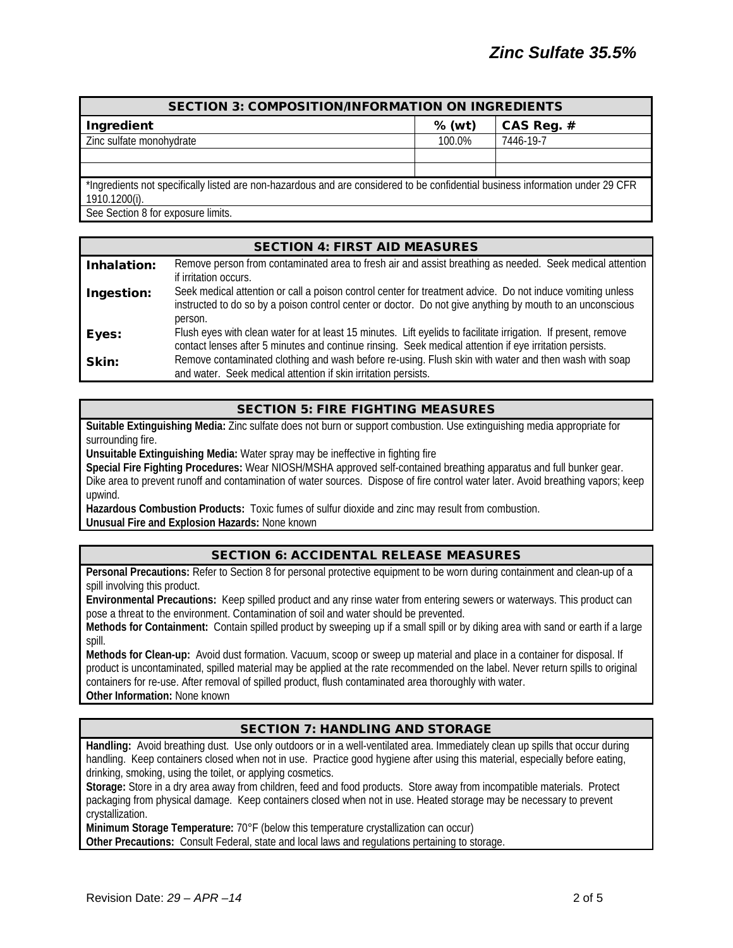| <b>SECTION 3: COMPOSITION/INFORMATION ON INGREDIENTS</b>                                                                                        |          |            |
|-------------------------------------------------------------------------------------------------------------------------------------------------|----------|------------|
| Ingredient                                                                                                                                      | $%$ (wt) | CAS Reg. # |
| Zinc sulfate monohydrate                                                                                                                        | 100.0%   | 7446-19-7  |
|                                                                                                                                                 |          |            |
|                                                                                                                                                 |          |            |
| *Ingredients not specifically listed are non-hazardous and are considered to be confidential business information under 29 CFR<br>1910.1200(i). |          |            |
| See Section 8 for exposure limits.                                                                                                              |          |            |

|             | <b>SECTION 4: FIRST AID MEASURES</b>                                                                                                                                                                                                 |
|-------------|--------------------------------------------------------------------------------------------------------------------------------------------------------------------------------------------------------------------------------------|
| Inhalation: | Remove person from contaminated area to fresh air and assist breathing as needed. Seek medical attention<br>if irritation occurs.                                                                                                    |
| Ingestion:  | Seek medical attention or call a poison control center for treatment advice. Do not induce vomiting unless<br>instructed to do so by a poison control center or doctor. Do not give anything by mouth to an unconscious              |
| Eyes:       | person.<br>Flush eyes with clean water for at least 15 minutes. Lift eyelids to facilitate irrigation. If present, remove<br>contact lenses after 5 minutes and continue rinsing. Seek medical attention if eye irritation persists. |
| Skin:       | Remove contaminated clothing and wash before re-using. Flush skin with water and then wash with soap<br>and water. Seek medical attention if skin irritation persists.                                                               |

### SECTION 5: FIRE FIGHTING MEASURES

**Suitable Extinguishing Media:** Zinc sulfate does not burn or support combustion. Use extinguishing media appropriate for surrounding fire.

**Unsuitable Extinguishing Media:** Water spray may be ineffective in fighting fire

**Special Fire Fighting Procedures:** Wear NIOSH/MSHA approved self-contained breathing apparatus and full bunker gear.

Dike area to prevent runoff and contamination of water sources. Dispose of fire control water later. Avoid breathing vapors; keep upwind.

**Hazardous Combustion Products:** Toxic fumes of sulfur dioxide and zinc may result from combustion.

**Unusual Fire and Explosion Hazards:** None known

## SECTION 6: ACCIDENTAL RELEASE MEASURES

**Personal Precautions:** Refer to Section 8 for personal protective equipment to be worn during containment and clean-up of a spill involving this product.

**Environmental Precautions:** Keep spilled product and any rinse water from entering sewers or waterways. This product can pose a threat to the environment. Contamination of soil and water should be prevented.

**Methods for Containment:** Contain spilled product by sweeping up if a small spill or by diking area with sand or earth if a large spill.

**Methods for Clean-up:** Avoid dust formation. Vacuum, scoop or sweep up material and place in a container for disposal. If product is uncontaminated, spilled material may be applied at the rate recommended on the label. Never return spills to original containers for re-use. After removal of spilled product, flush contaminated area thoroughly with water. **Other Information:** None known

### SECTION 7: HANDLING AND STORAGE

**Handling:** Avoid breathing dust. Use only outdoors or in a well-ventilated area. Immediately clean up spills that occur during handling. Keep containers closed when not in use. Practice good hygiene after using this material, especially before eating, drinking, smoking, using the toilet, or applying cosmetics.

**Storage:** Store in a dry area away from children, feed and food products. Store away from incompatible materials. Protect packaging from physical damage. Keep containers closed when not in use. Heated storage may be necessary to prevent crystallization.

**Minimum Storage Temperature:** 70°F (below this temperature crystallization can occur)

**Other Precautions:** Consult Federal, state and local laws and regulations pertaining to storage.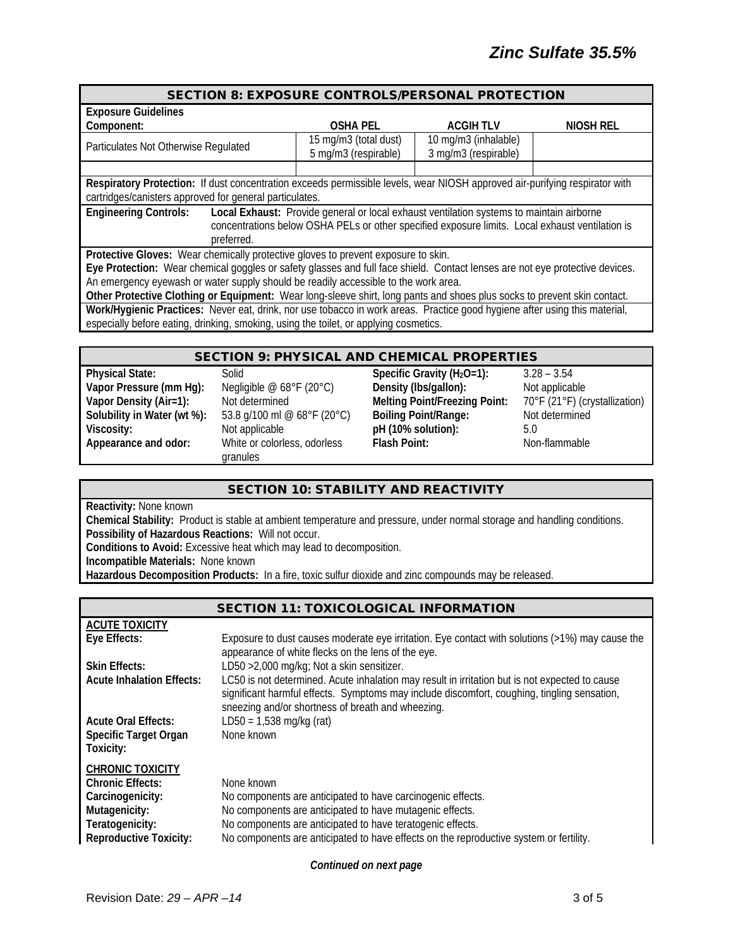| <b>SECTION 8: EXPOSURE CONTROLS/PERSONAL PROTECTION</b>                                                                      |                                                                                                 |                      |           |
|------------------------------------------------------------------------------------------------------------------------------|-------------------------------------------------------------------------------------------------|----------------------|-----------|
| <b>Exposure Guidelines</b>                                                                                                   |                                                                                                 |                      |           |
| Component:                                                                                                                   | <b>OSHA PEL</b>                                                                                 | <b>ACGIHTLV</b>      | NIOSH REL |
| Particulates Not Otherwise Regulated                                                                                         | 15 mg/m3 (total dust)                                                                           | 10 mg/m3 (inhalable) |           |
|                                                                                                                              | 5 mg/m3 (respirable)                                                                            | 3 mg/m3 (respirable) |           |
|                                                                                                                              |                                                                                                 |                      |           |
| Respiratory Protection: If dust concentration exceeds permissible levels, wear NIOSH approved air-purifying respirator with  |                                                                                                 |                      |           |
| cartridges/canisters approved for general particulates.                                                                      |                                                                                                 |                      |           |
| <b>Engineering Controls:</b>                                                                                                 | Local Exhaust: Provide general or local exhaust ventilation systems to maintain airborne        |                      |           |
|                                                                                                                              | concentrations below OSHA PELs or other specified exposure limits. Local exhaust ventilation is |                      |           |
| preferred.                                                                                                                   |                                                                                                 |                      |           |
| Protective Gloves: Wear chemically protective gloves to prevent exposure to skin.                                            |                                                                                                 |                      |           |
| Eye Protection: Wear chemical goggles or safety glasses and full face shield. Contact lenses are not eye protective devices. |                                                                                                 |                      |           |
| An emergency eyewash or water supply should be readily accessible to the work area.                                          |                                                                                                 |                      |           |
| Other Protective Clothing or Equipment: Wear long-sleeve shirt, long pants and shoes plus socks to prevent skin contact.     |                                                                                                 |                      |           |
| Work/Hygienic Practices: Never eat, drink, nor use tobacco in work areas. Practice good hygiene after using this material,   |                                                                                                 |                      |           |
| especially before eating, drinking, smoking, using the toilet, or applying cosmetics.                                        |                                                                                                 |                      |           |
|                                                                                                                              |                                                                                                 |                      |           |
|                                                                                                                              | CECTION Q. DUVCICAL AND CUEMICAL DDODEDTIES                                                     |                      |           |

| <b>SECTION 9: PHYSICAL AND CHEMICAL PROPERTIES</b> |  |
|----------------------------------------------------|--|
|----------------------------------------------------|--|

| Physical State:             |
|-----------------------------|
| Vapor Pressure (mm Hg):     |
| Vapor Density (Air=1):      |
| Solubility in Water (wt %): |
| Viscosity:                  |
| Appearance and odor:        |
|                             |

53.8 g/100 ml @ 68°F (20°C) White or colorless, odorless granules

**Physical State:** Solid **Specific Gravity (H2O=1):** 3.28 – 3.54 **Vapor Pressure (Megligible @ 68°F (20°C) <b>Density (Ibs/gallon):** Not applicable<br>Not determined **Melting Point/Freezing Point:** 70°F (21°F) (crystallization) **Melting Point/Freezing Point:** 70°F (21°F) (cry<br>**Boiling Point/Range:** Not determined Not applicable **pH** (10% solution): 5.0<br>
White or colorless. odorless **Flash Point:** Nor

**Flash Point:** Non-flammable

## SECTION 10: STABILITY AND REACTIVITY

**Reactivity:** None known

**Chemical Stability:** Product is stable at ambient temperature and pressure, under normal storage and handling conditions. **Possibility of Hazardous Reactions:** Will not occur.

**Conditions to Avoid:** Excessive heat which may lead to decomposition.

**Incompatible Materials:** None known

**Hazardous Decomposition Products:** In a fire, toxic sulfur dioxide and zinc compounds may be released.

|                                                                                                            | <b>SECTION 11: TOXICOLOGICAL INFORMATION</b>                                                                                                                                                                                                       |
|------------------------------------------------------------------------------------------------------------|----------------------------------------------------------------------------------------------------------------------------------------------------------------------------------------------------------------------------------------------------|
| <b>ACUTE TOXICITY</b>                                                                                      |                                                                                                                                                                                                                                                    |
| Eye Effects:                                                                                               | Exposure to dust causes moderate eye irritation. Eye contact with solutions $(>1%)$ may cause the<br>appearance of white flecks on the lens of the eye.                                                                                            |
| <b>Skin Effects:</b>                                                                                       | LD50 > 2,000 mg/kg; Not a skin sensitizer.                                                                                                                                                                                                         |
| <b>Acute Inhalation Effects:</b>                                                                           | LC50 is not determined. Acute inhalation may result in irritation but is not expected to cause<br>significant harmful effects. Symptoms may include discomfort, coughing, tingling sensation,<br>sneezing and/or shortness of breath and wheezing. |
| <b>Acute Oral Effects:</b><br><b>Specific Target Organ</b><br>Toxicity:                                    | $LD50 = 1,538$ mg/kg (rat)<br>None known                                                                                                                                                                                                           |
| <b>CHRONIC TOXICITY</b><br><b>Chronic Effects:</b><br>Carcinogenicity:<br>Mutagenicity:<br>Teratogenicity: | None known<br>No components are anticipated to have carcinogenic effects.<br>No components are anticipated to have mutagenic effects.<br>No components are anticipated to have teratogenic effects.                                                |
| <b>Reproductive Toxicity:</b>                                                                              | No components are anticipated to have effects on the reproductive system or fertility.                                                                                                                                                             |

*Continued on next page*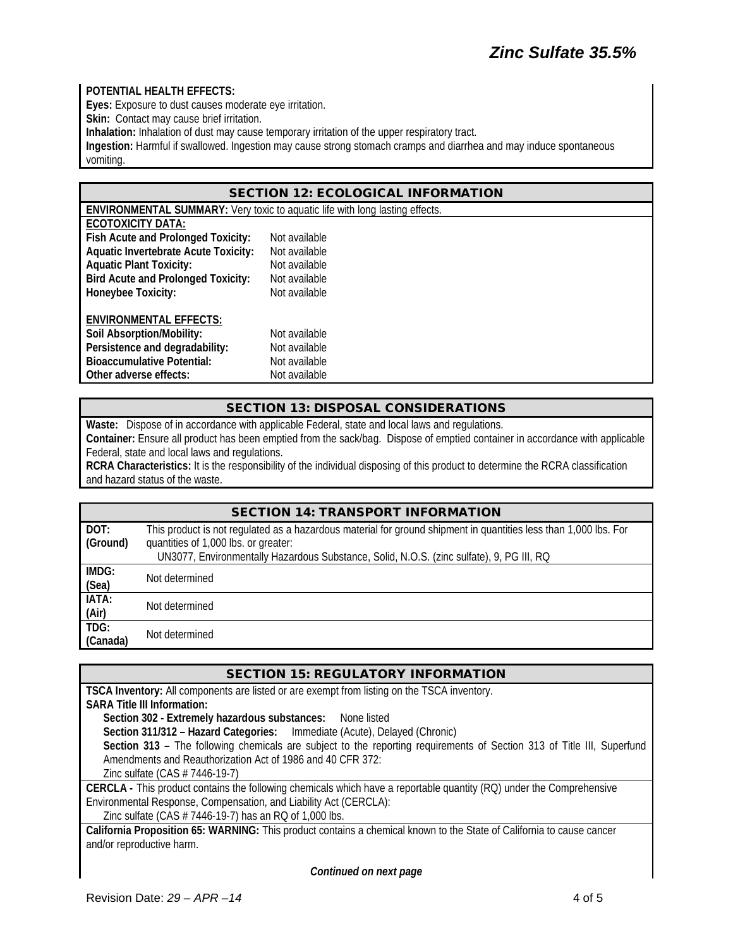### **POTENTIAL HEALTH EFFECTS:**

**Eyes:** Exposure to dust causes moderate eye irritation.

**Skin:** Contact may cause brief irritation.

**Inhalation:** Inhalation of dust may cause temporary irritation of the upper respiratory tract.

**Ingestion:** Harmful if swallowed. Ingestion may cause strong stomach cramps and diarrhea and may induce spontaneous vomiting.

### SECTION 12: ECOLOGICAL INFORMATION

**ENVIRONMENTAL SUMMARY:** Very toxic to aquatic life with long lasting effects.

| ECOTOXICITY DATA: |  |
|-------------------|--|
|                   |  |

| Not available |
|---------------|
| Not available |
| Not available |
| Not available |
| Not available |
|               |
|               |
| Not available |
| Not available |
| Not available |
| Not available |
|               |

### SECTION 13: DISPOSAL CONSIDERATIONS

**Waste:** Dispose of in accordance with applicable Federal, state and local laws and regulations. **Container:** Ensure all product has been emptied from the sack/bag. Dispose of emptied container in accordance with applicable Federal, state and local laws and regulations.

**RCRA Characteristics:** It is the responsibility of the individual disposing of this product to determine the RCRA classification and hazard status of the waste.

|          | <b>SECTION 14: TRANSPORT INFORMATION</b>                                                                         |  |
|----------|------------------------------------------------------------------------------------------------------------------|--|
| DOT:     | This product is not regulated as a hazardous material for ground shipment in quantities less than 1,000 lbs. For |  |
| (Ground) | quantities of 1,000 lbs. or greater:                                                                             |  |
|          | UN3077, Environmentally Hazardous Substance, Solid, N.O.S. (zinc sulfate), 9, PG III, RQ                         |  |
| IMDG:    | Not determined                                                                                                   |  |
| (Sea)    |                                                                                                                  |  |
| IATA:    | Not determined                                                                                                   |  |
| (Air)    |                                                                                                                  |  |
| TDG:     | Not determined                                                                                                   |  |
| (Canada) |                                                                                                                  |  |

| <b>SECTION 15: REGULATORY INFORMATION</b>                                                                              |
|------------------------------------------------------------------------------------------------------------------------|
| <b>TSCA Inventory:</b> All components are listed or are exempt from listing on the TSCA inventory.                     |
| <b>SARA Title III Information:</b>                                                                                     |
| Section 302 - Extremely hazardous substances: None listed                                                              |
| Section 311/312 - Hazard Categories: Immediate (Acute), Delayed (Chronic)                                              |
| Section 313 - The following chemicals are subject to the reporting requirements of Section 313 of Title III, Superfund |
| Amendments and Reauthorization Act of 1986 and 40 CFR 372:                                                             |
| Zinc sulfate $(CAS # 7446-19-7)$                                                                                       |
| CERCLA - This product contains the following chemicals which have a reportable quantity (RQ) under the Comprehensive   |
| Environmental Response, Compensation, and Liability Act (CERCLA):                                                      |
| Zinc sulfate (CAS # 7446-19-7) has an RQ of 1,000 lbs.                                                                 |
| California Proposition 65: WARNING: This product contains a chemical known to the State of California to cause cancer  |

and/or reproductive harm.

*Continued on next page*